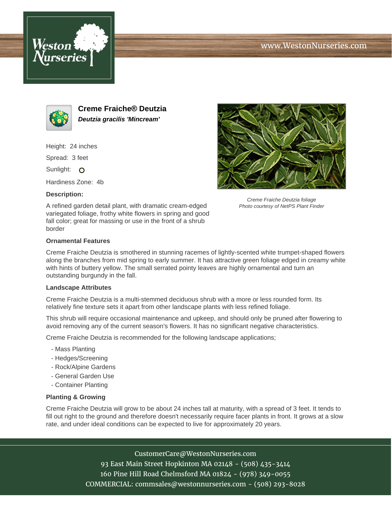





**Creme Fraiche® Deutzia Deutzia gracilis 'Mincream'**

Height: 24 inches

Spread: 3 feet

Sunlight: O

Hardiness Zone: 4b

## **Description:**





Creme Fraiche Deutzia foliage Photo courtesy of NetPS Plant Finder

## **Ornamental Features**

Creme Fraiche Deutzia is smothered in stunning racemes of lightly-scented white trumpet-shaped flowers along the branches from mid spring to early summer. It has attractive green foliage edged in creamy white with hints of buttery yellow. The small serrated pointy leaves are highly ornamental and turn an outstanding burgundy in the fall.

## **Landscape Attributes**

Creme Fraiche Deutzia is a multi-stemmed deciduous shrub with a more or less rounded form. Its relatively fine texture sets it apart from other landscape plants with less refined foliage.

This shrub will require occasional maintenance and upkeep, and should only be pruned after flowering to avoid removing any of the current season's flowers. It has no significant negative characteristics.

Creme Fraiche Deutzia is recommended for the following landscape applications;

- Mass Planting
- Hedges/Screening
- Rock/Alpine Gardens
- General Garden Use
- Container Planting

## **Planting & Growing**

Creme Fraiche Deutzia will grow to be about 24 inches tall at maturity, with a spread of 3 feet. It tends to fill out right to the ground and therefore doesn't necessarily require facer plants in front. It grows at a slow rate, and under ideal conditions can be expected to live for approximately 20 years.

CustomerCare@WestonNurseries.com

93 East Main Street Hopkinton MA 02148 - (508) 435-3414 160 Pine Hill Road Chelmsford MA 01824 - (978) 349-0055 COMMERCIAL: commsales@westonnurseries.com - (508) 293-8028